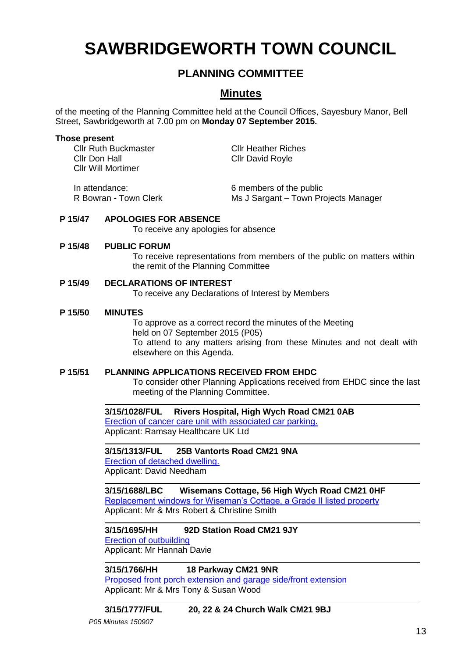# **SAWBRIDGEWORTH TOWN COUNCIL**

# **PLANNING COMMITTEE**

# **Minutes**

of the meeting of the Planning Committee held at the Council Offices, Sayesbury Manor, Bell Street, Sawbridgeworth at 7.00 pm on **Monday 07 September 2015.**

## **Those present**

Cllr Ruth Buckmaster Cllr Heather Riches Cllr Don Hall Cllr David Royle Cllr Will Mortimer

In attendance: 6 members of the public

R Bowran - Town Clerk Ms J Sargant – Town Projects Manager

# **P 15/47 APOLOGIES FOR ABSENCE**

To receive any apologies for absence

# **P 15/48 PUBLIC FORUM**

To receive representations from members of the public on matters within the remit of the Planning Committee

# **P 15/49 DECLARATIONS OF INTEREST**

To receive any Declarations of Interest by Members

# **P 15/50 MINUTES**

To approve as a correct record the minutes of the Meeting held on 07 September 2015 (P05) To attend to any matters arising from these Minutes and not dealt with elsewhere on this Agenda.

# **P 15/51 PLANNING APPLICATIONS RECEIVED FROM EHDC**

To consider other Planning Applications received from EHDC since the last meeting of the Planning Committee.

**3/15/1028/FUL Rivers Hospital, High Wych Road CM21 0AB** [Erection of cancer care unit with associated car parking.](https://publicaccess.eastherts.gov.uk/online-applications/applicationDetails.do?activeTab=summary&keyVal=NOJJE4GL00X00) Applicant: Ramsay Healthcare UK Ltd

# **3/15/1313/FUL 25B Vantorts Road CM21 9NA**

[Erection of detached dwelling.](https://publicaccess.eastherts.gov.uk/online-applications/applicationDetails.do?activeTab=summary&keyVal=NQC9PDGL00X00) Applicant: David Needham

**3/15/1688/LBC Wisemans Cottage, 56 High Wych Road CM21 0HF** [Replacement windows for Wiseman's Cottage, a Grade II listed property](https://publicaccess.eastherts.gov.uk/online-applications/applicationDetails.do?activeTab=summary&keyVal=NQC9PDGL00X00) Applicant: Mr & Mrs Robert & Christine Smith

# **3/15/1695/HH 92D Station Road CM21 9JY**

[Erection of outbuilding](https://publicaccess.eastherts.gov.uk/online-applications/applicationDetails.do?activeTab=summary&keyVal=NQC9PDGL00X00) Applicant: Mr Hannah Davie

**3/15/1766/HH 18 Parkway CM21 9NR** [Proposed front porch extension and garage side/front extension](https://publicaccess.eastherts.gov.uk/online-applications/applicationDetails.do?activeTab=summary&keyVal=NTN8EKGLGWK00) Applicant: Mr & Mrs Tony & Susan Wood

**3/15/1777/FUL 20, 22 & 24 Church Walk CM21 9BJ**

*P05 Minutes 150907*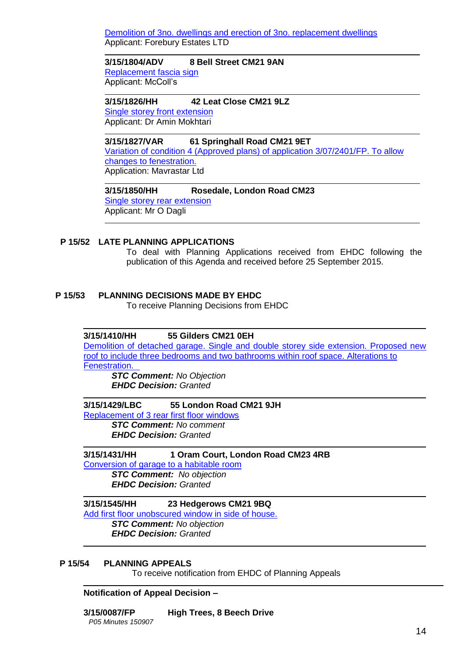[Demolition of 3no. dwellings and erection of 3no. replacement dwellings](https://publicaccess.eastherts.gov.uk/online-applications/applicationDetails.do?activeTab=summary&keyVal=NTN8EKGLGWK00) Applicant: Forebury Estates LTD

## **3/15/1804/ADV 8 Bell Street CM21 9AN**

[Replacement fascia sign](https://publicaccess.eastherts.gov.uk/online-applications/applicationDetails.do?activeTab=summary&keyVal=NU1FHPGLGY100) Applicant: McColl's

**3/15/1826/HH 42 Leat Close CM21 9LZ**  [Single storey front extension](https://publicaccess.eastherts.gov.uk/online-applications/applicationDetails.do?activeTab=summary&keyVal=NU6ZGIGLGYW00)  Applicant: Dr Amin Mokhtari

**3/15/1827/VAR 61 Springhall Road CM21 9ET** [Variation of condition 4 \(Approved plans\) of application 3/07/2401/FP. To allow](https://publicaccess.eastherts.gov.uk/online-applications/applicationDetails.do?activeTab=summary&keyVal=NU6ZGNGLGYX00)  [changes to fenestration.](https://publicaccess.eastherts.gov.uk/online-applications/applicationDetails.do?activeTab=summary&keyVal=NU6ZGNGLGYX00) Application: Mavrastar Ltd

**3/15/1850/HH Rosedale, London Road CM23** [Single storey rear extension](https://publicaccess.eastherts.gov.uk/online-applications/applicationDetails.do?activeTab=summary&keyVal=NUD69GGL00700) Applicant: Mr O Dagli

# **P 15/52 LATE PLANNING APPLICATIONS**

To deal with Planning Applications received from EHDC following the publication of this Agenda and received before 25 September 2015.

# **P 15/53 PLANNING DECISIONS MADE BY EHDC**

To receive Planning Decisions from EHDC

### **3/15/1410/HH 55 Gilders CM21 0EH**

[Demolition of detached garage. Single and double storey side extension. Proposed new](https://publicaccess.eastherts.gov.uk/online-applications/applicationDetails.do?activeTab=summary&keyVal=NQX38AGLGK400)  [roof to include three bedrooms and two bathrooms within roof space. Alterations to](https://publicaccess.eastherts.gov.uk/online-applications/applicationDetails.do?activeTab=summary&keyVal=NQX38AGLGK400)  [Fenestration.](https://publicaccess.eastherts.gov.uk/online-applications/applicationDetails.do?activeTab=summary&keyVal=NQX38AGLGK400)

*STC Comment: No Objection EHDC Decision: Granted*

### **3/15/1429/LBC 55 London Road CM21 9JH**

[Replacement of 3 rear first floor windows](https://publicaccess.eastherts.gov.uk/online-applications/applicationDetails.do?activeTab=summary&keyVal=NR3VIVGLGKX00)

*STC Comment: No comment EHDC Decision: Granted*

**3/15/1431/HH 1 Oram Court, London Road CM23 4RB**

[Conversion of garage to a habitable room](https://publicaccess.eastherts.gov.uk/online-applications/applicationDetails.do?activeTab=summary&keyVal=NR46N6GLGL000) *STC Comment: No objection EHDC Decision: Granted*

# **3/15/1545/HH 23 Hedgerows CM21 9BQ**

[Add first floor unobscured window in side of house.](https://publicaccess.eastherts.gov.uk/online-applications/applicationDetails.do?activeTab=summary&keyVal=NRXI4AGLGP200)

*STC Comment: No objection*

*EHDC Decision: Granted*

## **P 15/54 PLANNING APPEALS**

To receive notification from EHDC of Planning Appeals

**Notification of Appeal Decision –**

**3/15/0087/FP High Trees, 8 Beech Drive**

*P05 Minutes 150907*